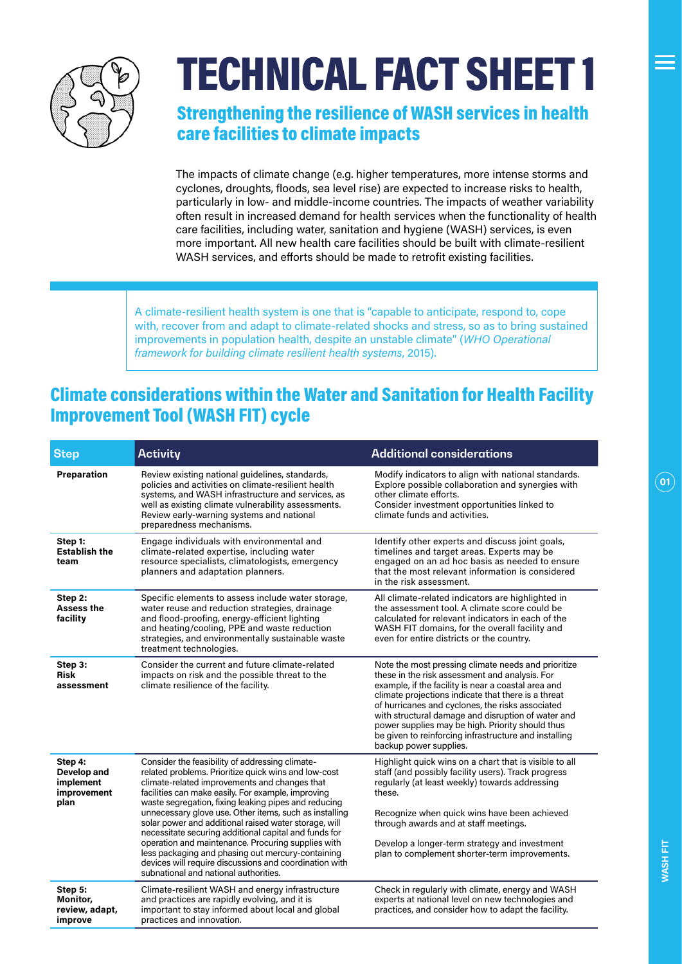

# TECHNICAL FACT SHEET 1

#### Strengthening the resilience of WASH services in health care facilities to climate impacts

The impacts of climate change (e.g. higher temperatures, more intense storms and cyclones, droughts, floods, sea level rise) are expected to increase risks to health, particularly in low- and middle-income countries. The impacts of weather variability often result in increased demand for health services when the functionality of health care facilities, including water, sanitation and hygiene (WASH) services, is even more important. All new health care facilities should be built with climate-resilient WASH services, and efforts should be made to retrofit existing facilities.

A climate-resilient health system is one that is "capable to anticipate, respond to, cope with, recover from and adapt to climate-related shocks and stress, so as to bring sustained improvements in population health, despite an unstable climate" (*WHO Operational framework for building climate resilient health systems*, 2015).

#### Climate considerations within the Water and Sanitation for Health Facility Improvement Tool (WASH FIT) cycle

| <b>Step</b>                                                | <b>Activity</b>                                                                                                                                                                                                                                                                                                                                                                                                                                                                                                                                                                                                                                                  | <b>Additional considerations</b>                                                                                                                                                                                                                                                                                                                                                                                                                                     |
|------------------------------------------------------------|------------------------------------------------------------------------------------------------------------------------------------------------------------------------------------------------------------------------------------------------------------------------------------------------------------------------------------------------------------------------------------------------------------------------------------------------------------------------------------------------------------------------------------------------------------------------------------------------------------------------------------------------------------------|----------------------------------------------------------------------------------------------------------------------------------------------------------------------------------------------------------------------------------------------------------------------------------------------------------------------------------------------------------------------------------------------------------------------------------------------------------------------|
| Preparation                                                | Review existing national guidelines, standards,<br>policies and activities on climate-resilient health<br>systems, and WASH infrastructure and services, as<br>well as existing climate vulnerability assessments.<br>Review early-warning systems and national<br>preparedness mechanisms.                                                                                                                                                                                                                                                                                                                                                                      | Modify indicators to align with national standards.<br>Explore possible collaboration and synergies with<br>other climate efforts.<br>Consider investment opportunities linked to<br>climate funds and activities.                                                                                                                                                                                                                                                   |
| Step 1:<br><b>Establish the</b><br>team                    | Engage individuals with environmental and<br>climate-related expertise, including water<br>resource specialists, climatologists, emergency<br>planners and adaptation planners.                                                                                                                                                                                                                                                                                                                                                                                                                                                                                  | Identify other experts and discuss joint goals,<br>timelines and target areas. Experts may be<br>engaged on an ad hoc basis as needed to ensure<br>that the most relevant information is considered<br>in the risk assessment.                                                                                                                                                                                                                                       |
| Step 2:<br><b>Assess the</b><br>facility                   | Specific elements to assess include water storage,<br>water reuse and reduction strategies, drainage<br>and flood-proofing, energy-efficient lighting<br>and heating/cooling, PPE and waste reduction<br>strategies, and environmentally sustainable waste<br>treatment technologies.                                                                                                                                                                                                                                                                                                                                                                            | All climate-related indicators are highlighted in<br>the assessment tool. A climate score could be<br>calculated for relevant indicators in each of the<br>WASH FIT domains, for the overall facility and<br>even for entire districts or the country.                                                                                                                                                                                                               |
| Step 3:<br><b>Risk</b><br>assessment                       | Consider the current and future climate-related<br>impacts on risk and the possible threat to the<br>climate resilience of the facility.                                                                                                                                                                                                                                                                                                                                                                                                                                                                                                                         | Note the most pressing climate needs and prioritize<br>these in the risk assessment and analysis. For<br>example, if the facility is near a coastal area and<br>climate projections indicate that there is a threat<br>of hurricanes and cyclones, the risks associated<br>with structural damage and disruption of water and<br>power supplies may be high. Priority should thus<br>be given to reinforcing infrastructure and installing<br>backup power supplies. |
| Step 4:<br>Develop and<br>implement<br>improvement<br>plan | Consider the feasibility of addressing climate-<br>related problems. Prioritize quick wins and low-cost<br>climate-related improvements and changes that<br>facilities can make easily. For example, improving<br>waste segregation, fixing leaking pipes and reducing<br>unnecessary glove use. Other items, such as installing<br>solar power and additional raised water storage, will<br>necessitate securing additional capital and funds for<br>operation and maintenance. Procuring supplies with<br>less packaging and phasing out mercury-containing<br>devices will require discussions and coordination with<br>subnational and national authorities. | Highlight quick wins on a chart that is visible to all<br>staff (and possibly facility users). Track progress<br>regularly (at least weekly) towards addressing<br>these.<br>Recognize when quick wins have been achieved<br>through awards and at staff meetings.<br>Develop a longer-term strategy and investment<br>plan to complement shorter-term improvements.                                                                                                 |
| Step 5:<br>Monitor,<br>review, adapt,<br>improve           | Climate-resilient WASH and energy infrastructure<br>and practices are rapidly evolving, and it is<br>important to stay informed about local and global<br>practices and innovation.                                                                                                                                                                                                                                                                                                                                                                                                                                                                              | Check in regularly with climate, energy and WASH<br>experts at national level on new technologies and<br>practices, and consider how to adapt the facility.                                                                                                                                                                                                                                                                                                          |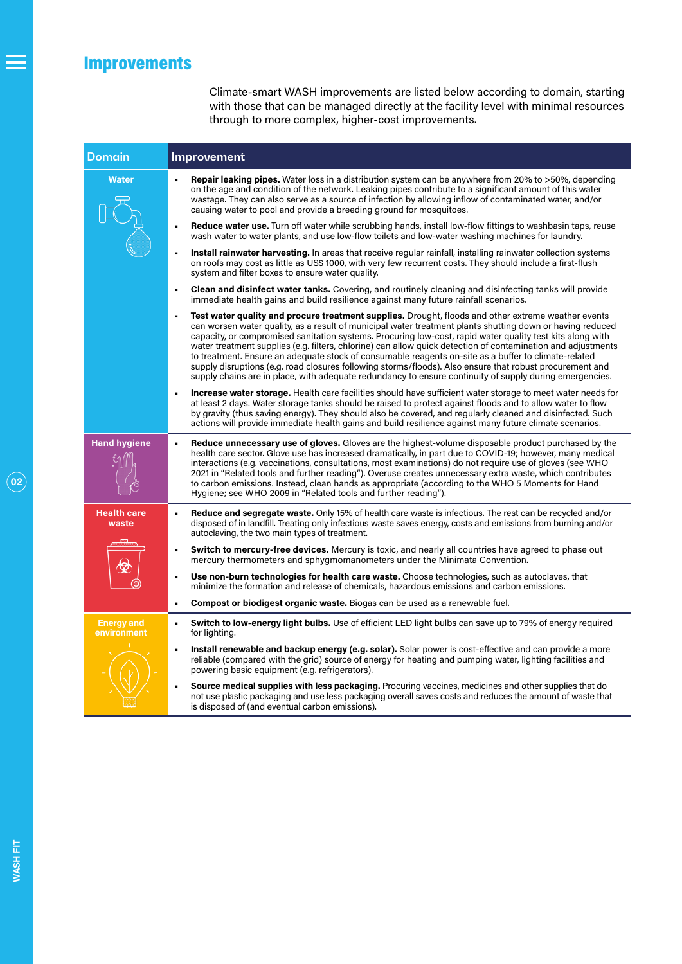## Improvements

Climate-smart WASH improvements are listed below according to domain, starting with those that can be managed directly at the facility level with minimal resources through to more complex, higher-cost improvements.

| <b>Domain</b>                    | Improvement                                                                                                                                                                                                                                                                                                                                                                                                                                                                                                                                                                                                                                                                                                                                                                  |  |
|----------------------------------|------------------------------------------------------------------------------------------------------------------------------------------------------------------------------------------------------------------------------------------------------------------------------------------------------------------------------------------------------------------------------------------------------------------------------------------------------------------------------------------------------------------------------------------------------------------------------------------------------------------------------------------------------------------------------------------------------------------------------------------------------------------------------|--|
| <b>Water</b>                     | <b>Repair leaking pipes.</b> Water loss in a distribution system can be anywhere from 20% to >50%, depending<br>on the age and condition of the network. Leaking pipes contribute to a significant amount of this water<br>wastage. They can also serve as a source of infection by allowing inflow of contaminated water, and/or<br>causing water to pool and provide a breeding ground for mosquitoes.                                                                                                                                                                                                                                                                                                                                                                     |  |
|                                  | <b>Reduce water use.</b> Turn off water while scrubbing hands, install low-flow fittings to washbasin taps, reuse<br>$\blacksquare$<br>wash water to water plants, and use low-flow toilets and low-water washing machines for laundry.                                                                                                                                                                                                                                                                                                                                                                                                                                                                                                                                      |  |
|                                  | Install rainwater harvesting. In areas that receive regular rainfall, installing rainwater collection systems<br>on roofs may cost as little as US\$ 1000, with very few recurrent costs. They should include a first-flush<br>system and filter boxes to ensure water quality.                                                                                                                                                                                                                                                                                                                                                                                                                                                                                              |  |
|                                  | <b>Clean and disinfect water tanks.</b> Covering, and routinely cleaning and disinfecting tanks will provide<br>$\blacksquare$<br>immediate health gains and build resilience against many future rainfall scenarios.                                                                                                                                                                                                                                                                                                                                                                                                                                                                                                                                                        |  |
|                                  | Test water quality and procure treatment supplies. Drought, floods and other extreme weather events<br>can worsen water quality, as a result of municipal water treatment plants shutting down or having reduced<br>capacity, or compromised sanitation systems. Procuring low-cost, rapid water quality test kits along with<br>water treatment supplies (e.g. filters, chlorine) can allow quick detection of contamination and adjustments<br>to treatment. Ensure an adequate stock of consumable reagents on-site as a buffer to climate-related<br>supply disruptions (e.g. road closures following storms/floods). Also ensure that robust procurement and<br>supply chains are in place, with adequate redundancy to ensure continuity of supply during emergencies. |  |
|                                  | <b>Increase water storage.</b> Health care facilities should have sufficient water storage to meet water needs for<br>٠<br>at least 2 days. Water storage tanks should be raised to protect against floods and to allow water to flow<br>by gravity (thus saving energy). They should also be covered, and regularly cleaned and disinfected. Such<br>actions will provide immediate health gains and build resilience against many future climate scenarios.                                                                                                                                                                                                                                                                                                                |  |
| <b>Hand hygiene</b>              | <b>Reduce unnecessary use of gloves.</b> Gloves are the highest-volume disposable product purchased by the<br>$\blacksquare$<br>health care sector. Glove use has increased dramatically, in part due to COVID-19; however, many medical<br>interactions (e.g. vaccinations, consultations, most examinations) do not require use of gloves (see WHO<br>2021 in "Related tools and further reading"). Overuse creates unnecessary extra waste, which contributes<br>to carbon emissions. Instead, clean hands as appropriate (according to the WHO 5 Moments for Hand<br>Hygiene; see WHO 2009 in "Related tools and further reading").                                                                                                                                      |  |
| <b>Health care</b><br>waste      | <b>Reduce and segregate waste.</b> Only 15% of health care waste is infectious. The rest can be recycled and/or<br>$\blacksquare$<br>disposed of in landfill. Treating only infectious waste saves energy, costs and emissions from burning and/or<br>autoclaving, the two main types of treatment.                                                                                                                                                                                                                                                                                                                                                                                                                                                                          |  |
|                                  | Switch to mercury-free devices. Mercury is toxic, and nearly all countries have agreed to phase out<br>$\blacksquare$<br>mercury thermometers and sphygmomanometers under the Minimata Convention.                                                                                                                                                                                                                                                                                                                                                                                                                                                                                                                                                                           |  |
|                                  | Use non-burn technologies for health care waste. Choose technologies, such as autoclaves, that<br>п<br>minimize the formation and release of chemicals, hazardous emissions and carbon emissions.                                                                                                                                                                                                                                                                                                                                                                                                                                                                                                                                                                            |  |
|                                  | Compost or biodigest organic waste. Biogas can be used as a renewable fuel.<br>$\blacksquare$                                                                                                                                                                                                                                                                                                                                                                                                                                                                                                                                                                                                                                                                                |  |
| <b>Energy and</b><br>environment | Switch to low-energy light bulbs. Use of efficient LED light bulbs can save up to 79% of energy required<br>$\blacksquare$<br>for lighting.                                                                                                                                                                                                                                                                                                                                                                                                                                                                                                                                                                                                                                  |  |
|                                  | Install renewable and backup energy (e.g. solar). Solar power is cost-effective and can provide a more<br>$\blacksquare$<br>reliable (compared with the grid) source of energy for heating and pumping water, lighting facilities and<br>powering basic equipment (e.g. refrigerators).                                                                                                                                                                                                                                                                                                                                                                                                                                                                                      |  |
|                                  | Source medical supplies with less packaging. Procuring vaccines, medicines and other supplies that do<br>not use plastic packaging and use less packaging overall saves costs and reduces the amount of waste that<br>is disposed of (and eventual carbon emissions).                                                                                                                                                                                                                                                                                                                                                                                                                                                                                                        |  |